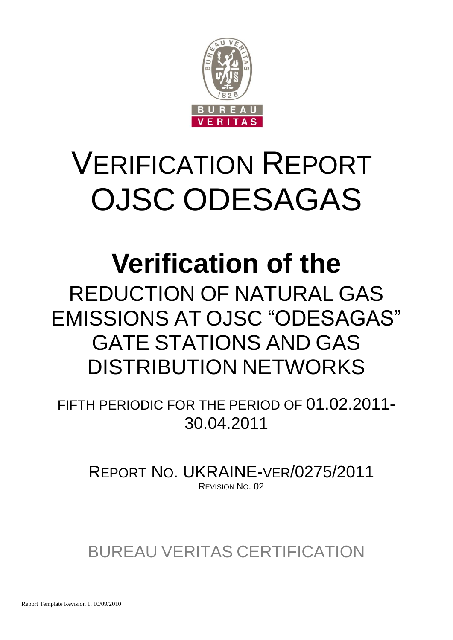

## VERIFICATION REPORT OJSC ODESAGAS

## **Verification of the**

REDUCTION OF NATURAL GAS EMISSIONS AT OJSC "ODESAGAS" GATE STATIONS AND GAS DISTRIBUTION NETWORKS

FIFTH PERIODIC FOR THE PERIOD OF 01.02.2011- 30.04.2011

REPORT NO. UKRAINE-VER/0275/2011 REVISION NO. 02

BUREAU VERITAS CERTIFICATION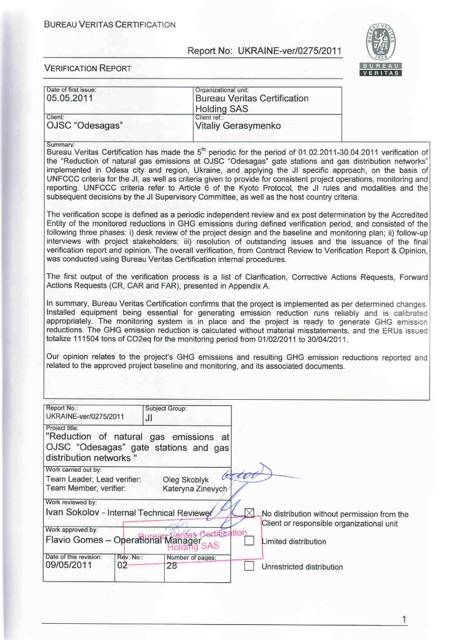#### **BUREAU VERITAS CERTIFICATION**

### Report No: UKRAINE-ver/0275/2011



| Date of first issue:<br>05.05.2011                                                                                                                |                                   | Organizational unit:<br><b>Bureau Veritas Certification</b><br><b>Holding SAS</b>                                                                                                                                                                                                                                                                                                                                                                                                                                                                                                                                                                                                                                                                                                                                                                                                                                                                                                                                                                                                                                                                                                                                                                                                                                                                                                                                                                                                                                                                                                                                                                                                                                                                                                                                                                                                                                             |                                             |
|---------------------------------------------------------------------------------------------------------------------------------------------------|-----------------------------------|-------------------------------------------------------------------------------------------------------------------------------------------------------------------------------------------------------------------------------------------------------------------------------------------------------------------------------------------------------------------------------------------------------------------------------------------------------------------------------------------------------------------------------------------------------------------------------------------------------------------------------------------------------------------------------------------------------------------------------------------------------------------------------------------------------------------------------------------------------------------------------------------------------------------------------------------------------------------------------------------------------------------------------------------------------------------------------------------------------------------------------------------------------------------------------------------------------------------------------------------------------------------------------------------------------------------------------------------------------------------------------------------------------------------------------------------------------------------------------------------------------------------------------------------------------------------------------------------------------------------------------------------------------------------------------------------------------------------------------------------------------------------------------------------------------------------------------------------------------------------------------------------------------------------------------|---------------------------------------------|
| Client:<br>OJSC "Odesagas"                                                                                                                        | Client ref.:                      | Vitaliy Gerasymenko                                                                                                                                                                                                                                                                                                                                                                                                                                                                                                                                                                                                                                                                                                                                                                                                                                                                                                                                                                                                                                                                                                                                                                                                                                                                                                                                                                                                                                                                                                                                                                                                                                                                                                                                                                                                                                                                                                           |                                             |
| Summary:<br>was conducted using Bureau Veritas Certification internal procedures.<br>Actions Requests (CR, CAR and FAR), presented in Appendix A. |                                   | Bureau Veritas Certification has made the 5 <sup>th</sup> periodic for the period of 01.02.2011-30.04.2011 verification of<br>the "Reduction of natural gas emissions at OJSC "Odesagas" gate stations and gas distribution networks"<br>implemented in Odesa city and region, Ukraine, and applying the JI specific approach, on the basis of<br>UNFCCC criteria for the JI, as well as criteria given to provide for consistent project operations, monitoring and<br>reporting. UNFCCC criteria refer to Article 6 of the Kyoto Protocol, the JI rules and modalities and the<br>subsequent decisions by the JI Supervisory Committee, as well as the host country criteria.<br>The verification scope is defined as a periodic independent review and ex post determination by the Accredited<br>Entity of the monitored reductions in GHG emissions during defined verification period, and consisted of the<br>following three phases: i) desk review of the project design and the baseline and monitoring plan; ii) follow-up<br>interviews with project stakeholders; iii) resolution of outstanding issues and the issuance of the final<br>verification report and opinion. The overall verification, from Contract Review to Verification Report & Opinion,<br>The first output of the verification process is a list of Clarification, Corrective Actions Requests, Forward<br>In summary, Bureau Veritas Certification confirms that the project is implemented as per determined changes.<br>Installed equipment being essential for generating emission reduction runs reliably and is calibrated<br>appropriately. The monitoring system is in place and the project is ready to generate GHG emission<br>reductions. The GHG emission reduction is calculated without material misstatements, and the ERUs issued<br>totalize 111504 tons of CO2eq for the monitoring period from 01/02/2011 to 30/04/2011. |                                             |
|                                                                                                                                                   |                                   | Our opinion relates to the project's GHG emissions and resulting GHG emission reductions reported and<br>related to the approved project baseline and monitoring, and its associated documents.                                                                                                                                                                                                                                                                                                                                                                                                                                                                                                                                                                                                                                                                                                                                                                                                                                                                                                                                                                                                                                                                                                                                                                                                                                                                                                                                                                                                                                                                                                                                                                                                                                                                                                                               |                                             |
| Report No.:<br>UKRAINE-ver/0275/2011                                                                                                              | Subject Group:<br>JI              |                                                                                                                                                                                                                                                                                                                                                                                                                                                                                                                                                                                                                                                                                                                                                                                                                                                                                                                                                                                                                                                                                                                                                                                                                                                                                                                                                                                                                                                                                                                                                                                                                                                                                                                                                                                                                                                                                                                               |                                             |
| Project title:<br>"Reduction of natural gas emissions at<br>OJSC "Odesagas" gate stations and gas<br>distribution networks "                      |                                   |                                                                                                                                                                                                                                                                                                                                                                                                                                                                                                                                                                                                                                                                                                                                                                                                                                                                                                                                                                                                                                                                                                                                                                                                                                                                                                                                                                                                                                                                                                                                                                                                                                                                                                                                                                                                                                                                                                                               |                                             |
| Work carried out by:<br>Team Leader, Lead verifier:<br>Team Member, verifier:                                                                     | Oleg Skoblyk<br>Kateryna Zinevych | ator                                                                                                                                                                                                                                                                                                                                                                                                                                                                                                                                                                                                                                                                                                                                                                                                                                                                                                                                                                                                                                                                                                                                                                                                                                                                                                                                                                                                                                                                                                                                                                                                                                                                                                                                                                                                                                                                                                                          |                                             |
| Work reviewed by:                                                                                                                                 |                                   |                                                                                                                                                                                                                                                                                                                                                                                                                                                                                                                                                                                                                                                                                                                                                                                                                                                                                                                                                                                                                                                                                                                                                                                                                                                                                                                                                                                                                                                                                                                                                                                                                                                                                                                                                                                                                                                                                                                               |                                             |
| Ivan Sokolov - Internal Technical Reviewer                                                                                                        |                                   | Client or responsible organizational unit                                                                                                                                                                                                                                                                                                                                                                                                                                                                                                                                                                                                                                                                                                                                                                                                                                                                                                                                                                                                                                                                                                                                                                                                                                                                                                                                                                                                                                                                                                                                                                                                                                                                                                                                                                                                                                                                                     | No distribution without permission from the |
| Work approved by:<br>Flavio Gomes - Operational Manager SAS                                                                                       |                                   | tas Certification<br>Limited distribution                                                                                                                                                                                                                                                                                                                                                                                                                                                                                                                                                                                                                                                                                                                                                                                                                                                                                                                                                                                                                                                                                                                                                                                                                                                                                                                                                                                                                                                                                                                                                                                                                                                                                                                                                                                                                                                                                     |                                             |
| Date of this revision:<br>Rev. No.:<br>09/05/2011<br>02                                                                                           | Number of pages:<br>28            | Unrestricted distribution                                                                                                                                                                                                                                                                                                                                                                                                                                                                                                                                                                                                                                                                                                                                                                                                                                                                                                                                                                                                                                                                                                                                                                                                                                                                                                                                                                                                                                                                                                                                                                                                                                                                                                                                                                                                                                                                                                     |                                             |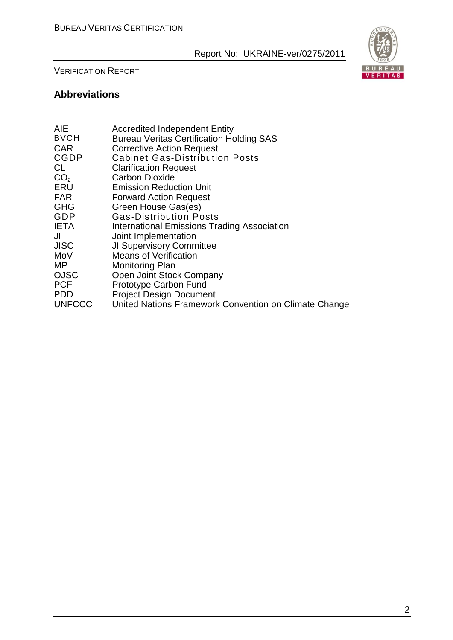

#### VERIFICATION REPORT

#### **Abbreviations**

| <b>AIE</b>      | <b>Accredited Independent Entity</b>                  |
|-----------------|-------------------------------------------------------|
| <b>BVCH</b>     | <b>Bureau Veritas Certification Holding SAS</b>       |
| <b>CAR</b>      | <b>Corrective Action Request</b>                      |
| <b>CGDP</b>     | <b>Cabinet Gas-Distribution Posts</b>                 |
| CL.             | <b>Clarification Request</b>                          |
| CO <sub>2</sub> | <b>Carbon Dioxide</b>                                 |
| ERU             | <b>Emission Reduction Unit</b>                        |
| <b>FAR</b>      | <b>Forward Action Request</b>                         |
| <b>GHG</b>      | Green House Gas(es)                                   |
| GDP             | <b>Gas-Distribution Posts</b>                         |
| <b>IETA</b>     | International Emissions Trading Association           |
| JI              | Joint Implementation                                  |
| <b>JISC</b>     | <b>JI Supervisory Committee</b>                       |
| MoV             | <b>Means of Verification</b>                          |
| MΡ              | <b>Monitoring Plan</b>                                |
| <b>OJSC</b>     | Open Joint Stock Company                              |
| <b>PCF</b>      | Prototype Carbon Fund                                 |
| <b>PDD</b>      | <b>Project Design Document</b>                        |
| <b>UNFCCC</b>   | United Nations Framework Convention on Climate Change |
|                 |                                                       |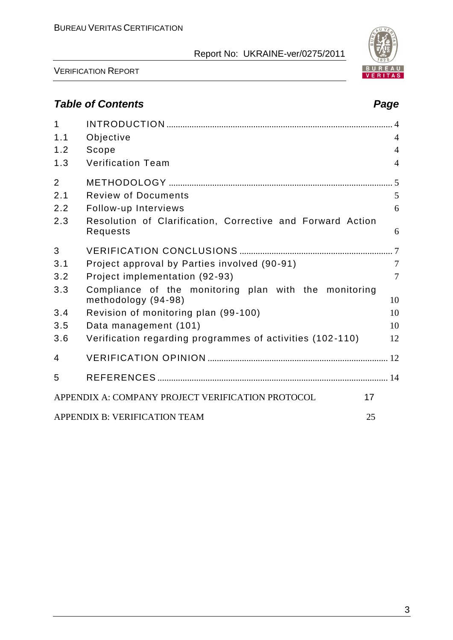

# BUREAU<br>VERITAS

VERIFICATION REPORT

### *Table of Contents Page*

| $\mathbf{1}$   |                                                                              |                |
|----------------|------------------------------------------------------------------------------|----------------|
| 1.1            | Objective                                                                    | $\overline{4}$ |
| 1.2            | Scope                                                                        | $\overline{4}$ |
| 1.3            | <b>Verification Team</b>                                                     | $\overline{4}$ |
| $\overline{2}$ |                                                                              |                |
| 2.1            | <b>Review of Documents</b>                                                   | 5              |
| 2.2            | Follow-up Interviews                                                         | 6              |
| 2.3            | Resolution of Clarification, Corrective and Forward Action<br>Requests       | 6              |
| 3              |                                                                              |                |
| 3.1            | Project approval by Parties involved (90-91)                                 | $\tau$         |
| 3.2            | Project implementation (92-93)                                               | $\overline{7}$ |
| 3.3            | Compliance of the monitoring plan with the monitoring<br>methodology (94-98) | 10             |
| 3.4            | Revision of monitoring plan (99-100)                                         | 10             |
| 3.5            | Data management (101)                                                        | 10             |
| 3.6            | Verification regarding programmes of activities (102-110)                    | 12             |
| 4              |                                                                              |                |
| 5              |                                                                              |                |
|                | APPENDIX A: COMPANY PROJECT VERIFICATION PROTOCOL                            | 17             |
|                | APPENDIX B: VERIFICATION TEAM                                                | 25             |
|                |                                                                              |                |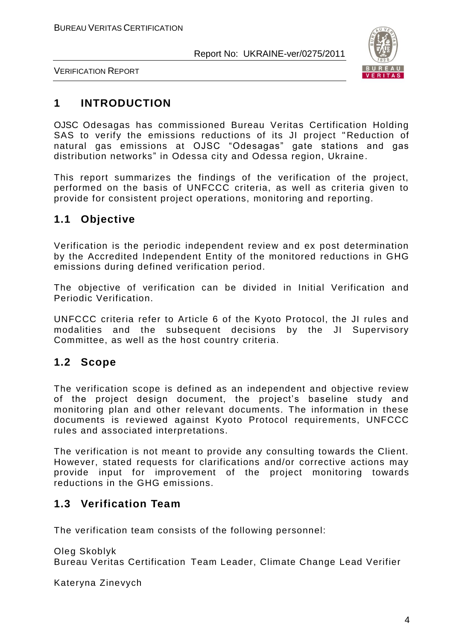

VERIFICATION REPORT

#### **1 INTRODUCTION**

OJSC Odesagas has commissioned Bureau Veritas Certification Holding SAS to verify the emissions reductions of its JI project " Reduction of natural gas emissions at OJSC "Odesagas" gate stations and gas distribution networks" in Odessa city and Odessa region, Ukraine.

This report summarizes the findings of the verification of the project, performed on the basis of UNFCCC criteria, as well as criteria given to provide for consistent project operations, monitoring and reporting.

#### **1.1 Objective**

Verification is the periodic independent review and ex post determination by the Accredited Independent Entity of the monitored reductions in GHG emissions during defined verification period.

The objective of verification can be divided in Initial Verification and Periodic Verification.

UNFCCC criteria refer to Article 6 of the Kyoto Protocol, the JI rules and modalities and the subsequent decisions by the JI Supervisory Committee, as well as the host country criteria.

#### **1.2 Scope**

The verification scope is defined as an independent and objective review of the project design document, the project"s baseline study and monitoring plan and other relevant documents. The information in these documents is reviewed against Kyoto Protocol requirements, UNFCCC rules and associated interpretations.

The verification is not meant to provide any consulting towards the Client. However, stated requests for clarifications and/or corrective actions may provide input for improvement of the project monitoring towards reductions in the GHG emissions.

#### **1.3 Verification Team**

The verification team consists of the following personnel:

Oleg Skoblyk Bureau Veritas Certification Team Leader, Climate Change Lead Verifier

Kateryna Zinevych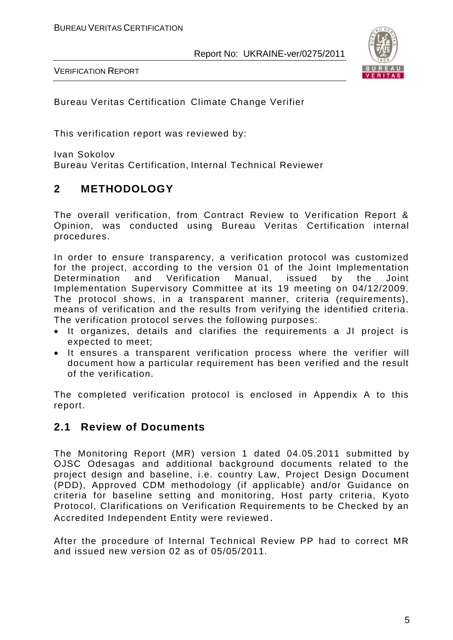

VERIFICATION REPORT

Bureau Veritas Certification Climate Change Verifier

This verification report was reviewed by:

Ivan Sokolov Bureau Veritas Certification, Internal Technical Reviewer

#### **2 METHODOLOGY**

The overall verification, from Contract Review to Verification Report & Opinion, was conducted using Bureau Veritas Certification internal procedures.

In order to ensure transparency, a verification protocol was customized for the project, according to the version 01 of the Joint Implementation Determination and Verification Manual, issued by the Joint Implementation Supervisory Committee at its 19 meeting on 04/12/2009. The protocol shows, in a transparent manner, criteria (requirements), means of verification and the results from verifying the identified criteria. The verification protocol serves the following purposes:

- It organizes, details and clarifies the requirements a JI project is expected to meet;
- It ensures a transparent verification process where the verifier will document how a particular requirement has been verified and the result of the verification.

The completed verification protocol is enclosed in Appendix A to this report.

#### **2.1 Review of Documents**

The Monitoring Report (MR) version 1 dated 04.05.2011 submitted by OJSC Odesagas and additional background documents related to the project design and baseline, i.e. country Law, Project Design Document (PDD), Approved CDM methodology (if applicable) and/or Guidance on criteria for baseline setting and monitoring, Host party criteria, Kyoto Protocol, Clarifications on Verification Requirements to be Checked by an Accredited Independent Entity were reviewed.

After the procedure of Internal Technical Review PP had to correct MR and issued new version 02 as of 05/05/2011.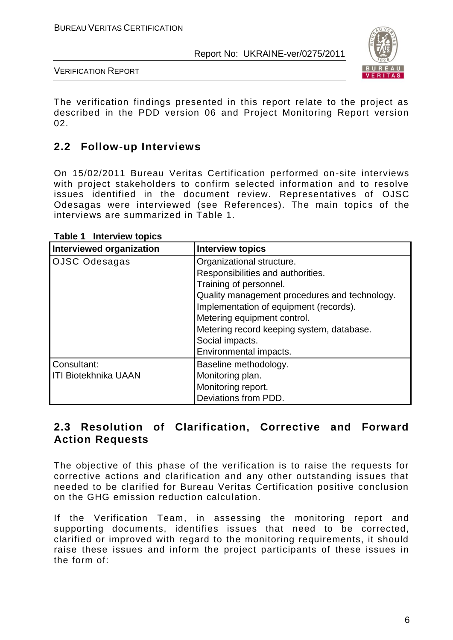

VERIFICATION REPORT

The verification findings presented in this report relate to the project as described in the PDD version 06 and Project Monitoring Report version 02.

#### **2.2 Follow-up Interviews**

On 15/02/2011 Bureau Veritas Certification performed on-site interviews with project stakeholders to confirm selected information and to resolve issues identified in the document review. Representatives of OJSC Odesagas were interviewed (see References). The main topics of the interviews are summarized in Table 1.

| Interviewed organization | <b>Interview topics</b>                       |  |  |  |  |
|--------------------------|-----------------------------------------------|--|--|--|--|
| OJSC Odesagas            | Organizational structure.                     |  |  |  |  |
|                          | Responsibilities and authorities.             |  |  |  |  |
|                          | Training of personnel.                        |  |  |  |  |
|                          | Quality management procedures and technology. |  |  |  |  |
|                          | Implementation of equipment (records).        |  |  |  |  |
|                          | Metering equipment control.                   |  |  |  |  |
|                          | Metering record keeping system, database.     |  |  |  |  |
|                          | Social impacts.                               |  |  |  |  |
|                          | Environmental impacts.                        |  |  |  |  |
| Consultant:              | Baseline methodology.                         |  |  |  |  |
| ITI Biotekhnika UAAN     | Monitoring plan.                              |  |  |  |  |
|                          | Monitoring report.                            |  |  |  |  |
|                          | Deviations from PDD.                          |  |  |  |  |

#### **Table 1 Interview topics**

#### **2.3 Resolution of Clarification, Corrective and Forward Action Requests**

The objective of this phase of the verification is to raise the requests for corrective actions and clarification and any other outstanding issues that needed to be clarified for Bureau Veritas Certification positive conclusion on the GHG emission reduction calculation.

If the Verification Team, in assessing the monitoring report and supporting documents, identifies issues that need to be corrected, clarified or improved with regard to the monitoring requirements, it should raise these issues and inform the project participants of these issues in the form of: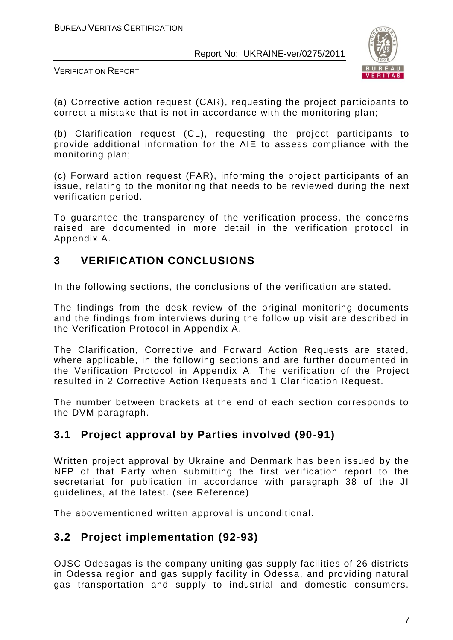

VERIFICATION REPORT

(a) Corrective action request (CAR), requesting the project participants to correct a mistake that is not in accordance with the monitoring plan;

(b) Clarification request (CL), requesting the project participants to provide additional information for the AIE to assess compliance with the monitoring plan;

(c) Forward action request (FAR), informing the project participants of an issue, relating to the monitoring that needs to be reviewed during the next verification period.

To guarantee the transparency of the verification process, the concerns raised are documented in more detail in the verification protocol in Appendix A.

#### **3 VERIFICATION CONCLUSIONS**

In the following sections, the conclusions of the verification are stated.

The findings from the desk review of the original monitoring documents and the findings from interviews during the follow up visit are described in the Verification Protocol in Appendix A.

The Clarification, Corrective and Forward Action Requests are stated, where applicable, in the following sections and are further documented in the Verification Protocol in Appendix A. The verification of the Project resulted in 2 Corrective Action Requests and 1 Clarification Request.

The number between brackets at the end of each section corresponds to the DVM paragraph.

#### **3.1 Project approval by Parties involved (90-91)**

Written project approval by Ukraine and Denmark has been issued by the NFP of that Party when submitting the first verification report to the secretariat for publication in accordance with paragraph 38 of the JI guidelines, at the latest. (see Reference)

The abovementioned written approval is unconditional.

#### **3.2 Project implementation (92-93)**

OJSC Odesagas is the company uniting gas supply facilities of 26 districts in Odessa region and gas supply facility in Odessa, and providing natural gas transportation and supply to industrial and domestic consumers.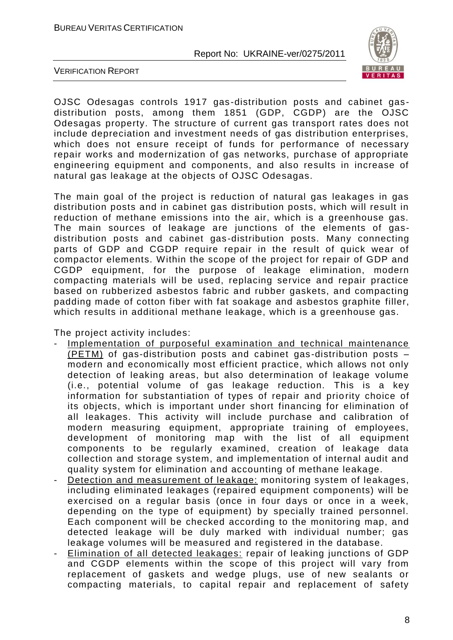

VERIFICATION REPORT

OJSC Odesagas controls 1917 gas-distribution posts and cabinet gasdistribution posts, among them 1851 (GDP, CGDP) are the OJSC Odesagas property. The structure of current gas transport rates does not include depreciation and investment needs of gas distribution enterprises, which does not ensure receipt of funds for performance of necessary repair works and modernization of gas networks, purchase of appropriate engineering equipment and components, and also results in increase of natural gas leakage at the objects of OJSC Odesagas.

The main goal of the project is reduction of natural gas leakages in gas distribution posts and in cabinet gas distribution posts, which will result in reduction of methane emissions into the air, which is a greenhouse gas. The main sources of leakage are junctions of the elements of gasdistribution posts and cabinet gas -distribution posts. Many connecting parts of GDP and CGDP require repair in the result of quick wear of compactor elements. Within the scope of the project for repair of GDP and CGDP equipment, for the purpose of leakage elimination, modern compacting materials will be used, replacing service and repair practice based on rubberized asbestos fabric and rubber gaskets, and compacting padding made of cotton fiber with fat soakage and asbestos graphite filler, which results in additional methane leakage, which is a greenhouse gas.

The project activity includes:

- Implementation of purposeful examination and technical maintenance (PETM) of gas-distribution posts and cabinet gas -distribution posts – modern and economically most efficient practice, which allows not only detection of leaking areas, but also determination of leakage volume (i.e., potential volume of gas leakage reduction. This is a key information for substantiation of types of repair and priority choice of its objects, which is important under short financing for elimination of all leakages. This activity will include purchase and calibration of modern measuring equipment, appropriate training of employees, development of monitoring map with the list of all equipment components to be regularly examined, creation of leakage data collection and storage system, and implementation of internal audit and quality system for elimination and accounting of methane leakage.
- Detection and measurement of leakage: monitoring system of leakages, including eliminated leakages (repaired equipment components) will be exercised on a regular basis (once in four days or once in a week, depending on the type of equipment) by specially trained personnel. Each component will be checked according to the monitoring map, and detected leakage will be duly marked with individual number; gas leakage volumes will be measured and registered in the database.
- Elimination of all detected leakages: repair of leaking junctions of GDP and CGDP elements within the scope of this project will vary from replacement of gaskets and wedge plugs, use of new sealants or compacting materials, to capital repair and replacement of safety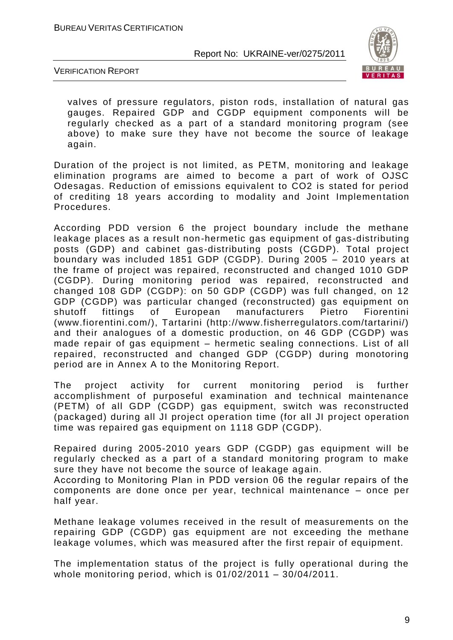

VERIFICATION REPORT

valves of pressure regulators, piston rods, installation of natural gas gauges. Repaired GDP and CGDP equipment components will be regularly checked as a part of a standard monitoring program (see above) to make sure they have not become the source of leakage again.

Duration of the project is not limited, as PETM, monitoring and leakage elimination programs are aimed to become a part of work of OJSC Odesagas. Reduction of emissions equivalent to CO2 is stated for period of crediting 18 years according to modality and Joint Implemen tation Procedures.

According PDD version 6 the project boundary include the methane leakage places as a result non-hermetic gas equipment of gas-distributing posts (GDP) and cabinet gas-distributing posts (CGDP). Total project boundary was included 1851 GDP (CGDP). During 2005 – 2010 years at the frame of project was repaired, reconstructed and changed 1010 GDP (CGDP). During monitoring period was repaired, reconstructed and changed 108 GDP (CGDP): on 50 GDP (CGDP) was full changed, on 12 GDP (CGDP) was particular changed (reconstructed) gas equipment on shutoff fittings of European manufacturers Pietro Fiorentini (www.fiorentini.com/), Tartarini (http://www.fisherregulators.com/tartarini/) and their analogues of a domestic production, on 46 GDP (CGDP) was made repair of gas equipment – hermetic sealing connections. List of all repaired, reconstructed and changed GDP (CGDP) during monotoring period are in Annex A to the Monitoring Report.

The project activity for current monitoring period is further accomplishment of purposeful examination and technical maintenance (PETM) of all GDP (CGDP) gas equipment, switch was reconstructed (packaged) during all JI project operation time (for all JI project operation time was repaired gas equipment on 1118 GDP (CGDP).

Repaired during 2005-2010 years GDP (CGDP) gas equipment will be regularly checked as a part of a standard monitoring program to make sure they have not become the source of leakage again.

According to Monitoring Plan in PDD version 06 the regular repairs оf the components are done once per year, technical maintenance – once per half year.

Methane leakage volumes received in the result of measurements on the repairing GDP (CGDP) gas equipment are not exceeding the methane leakage volumes, which was measured after the first repair of equipment.

The implementation status of the project is fully operational during the whole monitoring period, which is 01/02/2011 – 30/04/2011.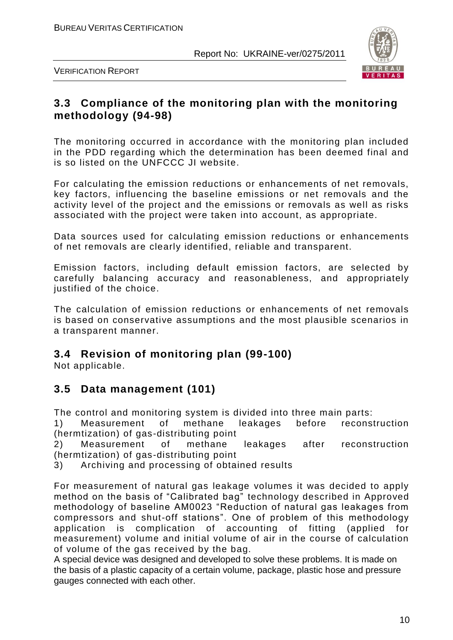

VERIFICATION REPORT

#### **3.3 Compliance of the monitoring plan with the monitoring methodology (94-98)**

The monitoring occurred in accordance with the monitoring plan included in the PDD regarding which the determination has been deemed final and is so listed on the UNFCCC JI website.

For calculating the emission reductions or enhancements of net removals, key factors, influencing the baseline emissions or net removals and the activity level of the project and the emissions or removals as well as risks associated with the project were taken into account, as appropriate.

Data sources used for calculating emission reductions or enhancements of net removals are clearly identified, reliable and transparent.

Emission factors, including default emission factors, are selected by carefully balancing accuracy and reasonableness, and appropriately justified of the choice.

The calculation of emission reductions or enhancements of net removals is based on conservative assumptions and the most plausible scenarios in a transparent manner.

#### **3.4 Revision of monitoring plan (99-100)**

Not applicable.

#### **3.5 Data management (101)**

The control and monitoring system is divided into three main parts:

1) Measurement of methane leakages before reconstruction (hermtization) of gas-distributing point

2) Measurement of methane leakages after reconstruction (hermtization) of gas-distributing point

3) Archiving and processing of obtained results

For measurement of natural gas leakage volumes it was decided to apply method on the basis of "Calibrated bag" technology described in Approved methodology of baseline AM0023 "Reduction of natural gas leakages from compressors and shut-off stations". One of problem of this methodology application is complication of accounting of fitting (applied for measurement) volume and initial volume of air in the course of calculation of volume of the gas received by the bag.

A special device was designed and developed to solve these problems. It is made on the basis of a plastic capacity of a certain volume, package, plastic hose and pressure gauges connected with each other.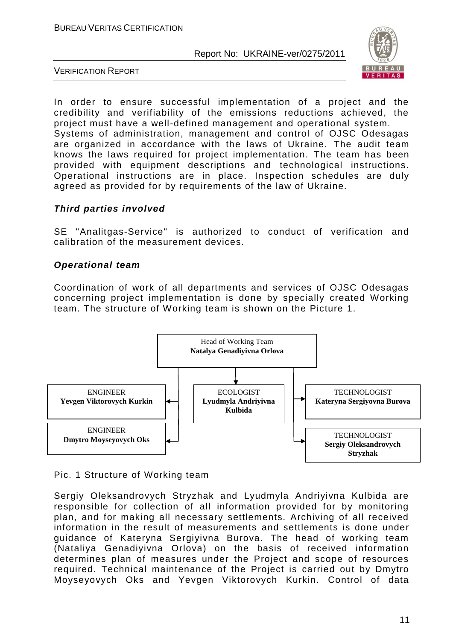

VERIFICATION REPORT

In order to ensure successful implementation of a project and the credibility and verifiability of the emissions reductions achieved, the project must have a well-defined management and operational system. Systems of administration, management and control of OJSC Odesagas are organized in accordance with the laws of Ukraine. The audit team knows the laws required for project implementation. The team has been provided with equipment descriptions and technological instructions. Operational instructions are in place. Inspection schedules are duly agreed as provided for by requirements of the law of Ukraine.

#### *Third parties involved*

SE "Analitgas-Service" is authorized to conduct of verification and calibration of the measurement devices.

#### *Operational team*

Coordination of work of all departments and services of OJSC Odesagas concerning project implementation is done by specially created Working team. The structure of Working team is shown on the Picture 1.



Pic. 1 Structure of Working team

Sergiy Oleksandrovych Stryzhak and Lyudmyla Andriyivna Kulbida are responsible for collection of all information provided for by monitoring plan, and for making all necessary settlements. Archiving of all received information in the result of measurements and settlements is done under guidance of Kateryna Sergiyivna Burova. The head of working team (Nataliya Genadiyivna Orlova) on the basis of received information determines plan of measures under the Project and scope of resources required. Technical maintenance of the Project is carried out by Dmytro Moyseyovych Oks and Yevgen Viktorovych Kurkin. Control of data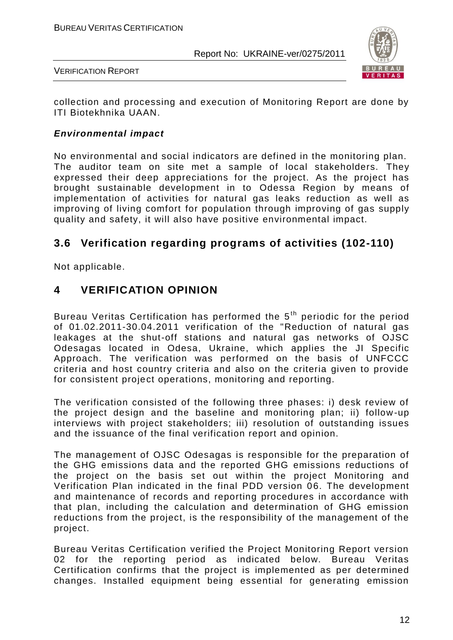

VERIFICATION REPORT

collection and processing and execution of Monitoring Report are done by ITI Biotekhnika UAAN.

#### *Environmental impact*

No environmental and social indicators are defined in the monitoring plan. The auditor team on site met a sample of local stakeholders. They expressed their deep appreciations for the project. As the project has brought sustainable development in to Odessa Region by means of implementation of activities for natural gas leaks reduction as well as improving of living comfort for population through improving of gas supply quality and safety, it will also have positive environmental impact.

#### **3.6 Verification regarding programs of activities (102-110)**

Not applicable.

#### **4 VERIFICATION OPINION**

Bureau Veritas Certification has performed the 5<sup>th</sup> periodic for the period of 01.02.2011-30.04.2011 verification of the "Reduction of natural gas leakages at the shut-off stations and natural gas networks of OJSC Odesagas located in Odesa, Ukraine, which applies the JI Specific Approach. The verification was performed on the basis of UNFCCC criteria and host country criteria and also on the criteria given to provide for consistent project operations, monitoring and reporting.

The verification consisted of the following three phases: i) desk review of the project design and the baseline and monitoring plan; ii) follow -up interviews with project stakeholders; iii) resolution of outstanding issues and the issuance of the final verification report and opinion.

The management of OJSC Odesagas is responsible for the preparation of the GHG emissions data and the reported GHG emissions reductions of the project on the basis set out within the project Monitoring and Verification Plan indicated in the final PDD version 06. The development and maintenance of records and reporting procedures in accordance with that plan, including the calculation and determination of GHG emission reductions from the project, is the responsibility of the management of the project.

Bureau Veritas Certification verified the Project Monitoring Report version 02 for the reporting period as indicated below. Bureau Veritas Certification confirms that the project is implemented as per determined changes. Installed equipment being essential for generating emission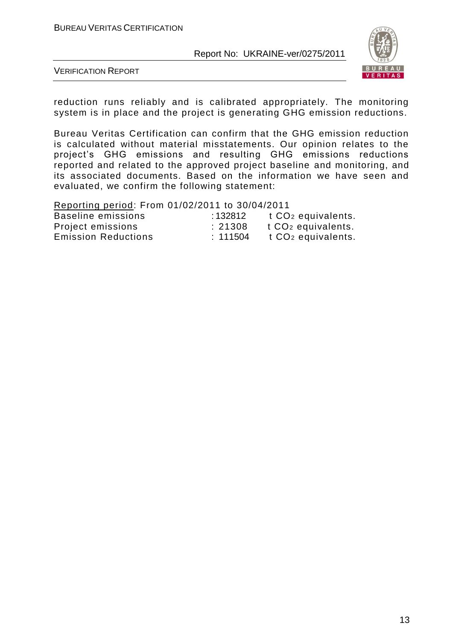

VERIFICATION REPORT

reduction runs reliably and is calibrated appropriately. The monitoring system is in place and the project is generating GHG emission reductions.

Bureau Veritas Certification can confirm that the GHG emission reduction is calculated without material misstatements. Our opinion relates to the project"s GHG emissions and resulting GHG emissions reductions reported and related to the approved project baseline and monitoring, and its associated documents. Based on the information we have seen and evaluated, we confirm the following statement:

Reporting period: From 01/02/2011 to 30/04/2011

| Baseline emissions         | : 132812 | t CO <sub>2</sub> equivalents. |
|----------------------------|----------|--------------------------------|
| Project emissions          | : 21308  | t CO <sub>2</sub> equivalents. |
| <b>Emission Reductions</b> | : 111504 | t CO <sub>2</sub> equivalents. |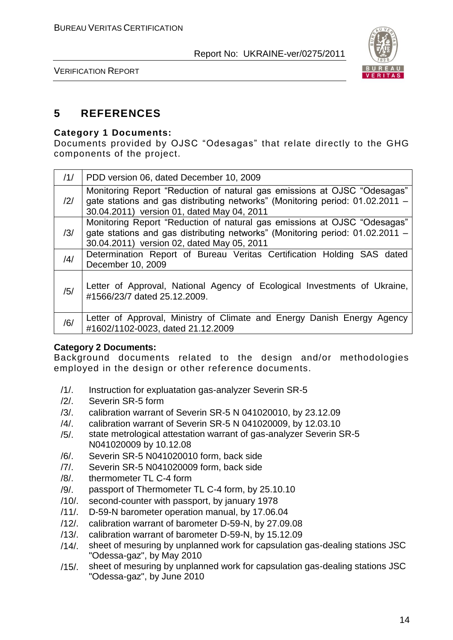

VERIFICATION REPORT

#### **5 REFERENCES**

#### **Category 1 Documents:**

Documents provided by OJSC "Odesagas" that relate directly to the GHG components of the project.

| /1/ | PDD version 06, dated December 10, 2009                                                                                                                                                                 |
|-----|---------------------------------------------------------------------------------------------------------------------------------------------------------------------------------------------------------|
| /2/ | Monitoring Report "Reduction of natural gas emissions at OJSC "Odesagas"<br>gate stations and gas distributing networks" (Monitoring period: 01.02.2011 -<br>30.04.2011) version 01, dated May 04, 2011 |
| /3/ | Monitoring Report "Reduction of natural gas emissions at OJSC "Odesagas"<br>gate stations and gas distributing networks" (Monitoring period: 01.02.2011 -<br>30.04.2011) version 02, dated May 05, 2011 |
| /4/ | Determination Report of Bureau Veritas Certification Holding SAS dated<br>December 10, 2009                                                                                                             |
| /5/ | Letter of Approval, National Agency of Ecological Investments of Ukraine,<br>#1566/23/7 dated 25.12.2009.                                                                                               |
| /6/ | Letter of Approval, Ministry of Climate and Energy Danish Energy Agency<br>#1602/1102-0023, dated 21.12.2009                                                                                            |

#### **Category 2 Documents:**

Background documents related to the design and/or methodologies employed in the design or other reference documents.

- /1/. Instruction for expluatation gas-analyzer Severin SR-5
- /2/. Severin SR-5 form
- /3/. calibration warrant of Severin SR-5 N 041020010, by 23.12.09
- /4/. calibration warrant of Severin SR-5 N 041020009, by 12.03.10
- /5/. state metrological attestation warrant of gas-analyzer Severin SR-5 N041020009 by 10.12.08
- /6/. Severin SR-5 N041020010 form, back side
- /7/. Severin SR-5 N041020009 form, back side
- /8/. thermometer TL C-4 form
- /9/. passport of Thermometer TL C-4 form, by 25.10.10
- /10/. second-counter with passport, by january 1978
- /11/. D-59-N barometer operation manual, by 17.06.04
- /12/. calibration warrant of barometer D-59-N, by 27.09.08
- /13/. calibration warrant of barometer D-59-N, by 15.12.09
- /14/. sheet of mesuring by unplanned work for capsulation gas-dealing stations JSC "Odessa-gaz", by May 2010
- /15/. sheet of mesuring by unplanned work for capsulation gas-dealing stations JSC "Odessa-gaz", by June 2010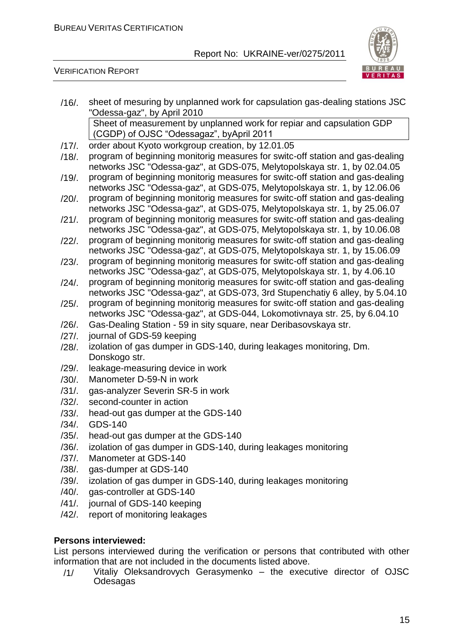

#### VERIFICATION REPORT

| $/16/$ . | sheet of mesuring by unplanned work for capsulation gas-dealing stations JSC                                                                               |
|----------|------------------------------------------------------------------------------------------------------------------------------------------------------------|
|          | "Odessa-gaz", by April 2010                                                                                                                                |
|          | Sheet of measurement by unplanned work for repiar and capsulation GDP                                                                                      |
|          | (CGDP) of OJSC "Odessagaz", byApril 2011                                                                                                                   |
| $/17/$ . | order about Kyoto workgroup creation, by 12.01.05                                                                                                          |
| $/18/$ . | program of beginning monitorig measures for switc-off station and gas-dealing                                                                              |
|          | networks JSC "Odessa-gaz", at GDS-075, Melytopolskaya str. 1, by 02.04.05                                                                                  |
| $/19/$ . | program of beginning monitorig measures for switc-off station and gas-dealing                                                                              |
|          | networks JSC "Odessa-gaz", at GDS-075, Melytopolskaya str. 1, by 12.06.06                                                                                  |
| $/20/$ . | program of beginning monitorig measures for switc-off station and gas-dealing                                                                              |
|          | networks JSC "Odessa-gaz", at GDS-075, Melytopolskaya str. 1, by 25.06.07                                                                                  |
| $/21/$ . | program of beginning monitorig measures for switc-off station and gas-dealing                                                                              |
|          | networks JSC "Odessa-gaz", at GDS-075, Melytopolskaya str. 1, by 10.06.08                                                                                  |
| $/22/$ . | program of beginning monitorig measures for switc-off station and gas-dealing<br>networks JSC "Odessa-gaz", at GDS-075, Melytopolskaya str. 1, by 15.06.09 |
| $/23/$ . | program of beginning monitorig measures for switc-off station and gas-dealing                                                                              |
|          | networks JSC "Odessa-gaz", at GDS-075, Melytopolskaya str. 1, by 4.06.10                                                                                   |
| $/24/$ . | program of beginning monitorig measures for switc-off station and gas-dealing                                                                              |
|          | networks JSC "Odessa-gaz", at GDS-073, 3rd Stupenchatiy 6 alley, by 5.04.10                                                                                |
| $/25/$ . | program of beginning monitorig measures for switc-off station and gas-dealing                                                                              |
|          | networks JSC "Odessa-gaz", at GDS-044, Lokomotivnaya str. 25, by 6.04.10                                                                                   |
| $/26/$ . | Gas-Dealing Station - 59 in sity square, near Deribasovskaya str.                                                                                          |
| $/27/$ . | journal of GDS-59 keeping                                                                                                                                  |
| $/28/$ . | izolation of gas dumper in GDS-140, during leakages monitoring, Dm.                                                                                        |
|          | Donskogo str.                                                                                                                                              |
| $/29/$ . | leakage-measuring device in work                                                                                                                           |
| $/30/$ . | Manometer D-59-N in work                                                                                                                                   |
| $/31/$ . | gas-analyzer Severin SR-5 in work                                                                                                                          |
| $/32/$ . | second-counter in action                                                                                                                                   |
| $/33/$ . | head-out gas dumper at the GDS-140                                                                                                                         |
| $/34/$ . | <b>GDS-140</b>                                                                                                                                             |
| $/35/$ . | head-out gas dumper at the GDS-140                                                                                                                         |
| $/36/$ . | izolation of gas dumper in GDS-140, during leakages monitoring                                                                                             |
| $/37/$ . | Manometer at GDS-140                                                                                                                                       |
| $/38/$ . | gas-dumper at GDS-140                                                                                                                                      |
| $/39/$ . | izolation of gas dumper in GDS-140, during leakages monitoring                                                                                             |
| $/40/$ . | gas-controller at GDS-140                                                                                                                                  |
| $/41/$ . | journal of GDS-140 keeping                                                                                                                                 |
| $/42/$ . | report of monitoring leakages                                                                                                                              |

#### **Persons interviewed:**

List persons interviewed during the verification or persons that contributed with other information that are not included in the documents listed above.

/1/ Vitaliy Oleksandrovych Gerasymenko – the executive director of OJSC **Odesagas**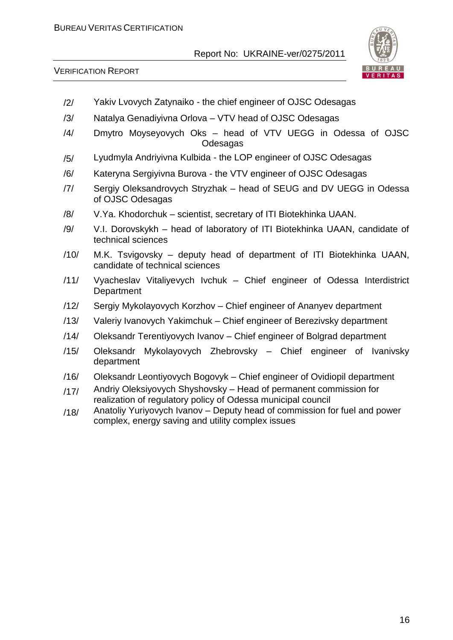



- /2/ Yakiv Lvovych Zatynaiko the chief engineer of OJSC Odesagas
- /3/ Natalya Genadiyivna Orlova VTV head of OJSC Odesagas
- /4/ Dmytro Moyseyovych Oks head of VTV UEGG in Odessa of OJSC Odesagas
- /5/ Lyudmyla Andriyivna Kulbida the LOP engineer of OJSC Odesagas
- /6/ Kateryna Sergiyivna Burova the VTV engineer of OJSC Odesagas
- /7/ Sergiy Oleksandrovych Stryzhak head of SEUG and DV UEGG in Odessa of OJSC Odesagas
- /8/ V.Ya. Khodorchuk scientist, secretary of ITI Biotekhinka UAAN.
- /9/ V.I. Dorovskykh head of laboratory of ITI Biotekhinka UAAN, candidate of technical sciences
- /10/ M.K. Tsvigovsky deputy head of department of ITI Biotekhinka UAAN, candidate of technical sciences
- /11/ Vyacheslav Vitaliyevych Ivchuk Chief engineer of Odessa Interdistrict **Department**
- /12/ Sergiy Mykolayovych Korzhov Chief engineer of Ananyev department
- /13/ Valeriy Ivanovych Yakimchuk Chief engineer of Berezivsky department
- /14/ Oleksandr Terentiyovych Ivanov Chief engineer of Bolgrad department
- /15/ Oleksandr Mykolayovych Zhebrovsky Chief engineer of Ivanivsky department
- /16/ Oleksandr Leontiyovych Bogovyk Chief engineer of Ovidiopil department
- /17/ Andriy Oleksiyovych Shyshovsky Head of permanent commission for realization of regulatory policy of Odessa municipal council
- $/18/$  Anatoliy Yuriyovych Ivanov Deputy head of commission for fuel and power complex, energy saving and utility complex issues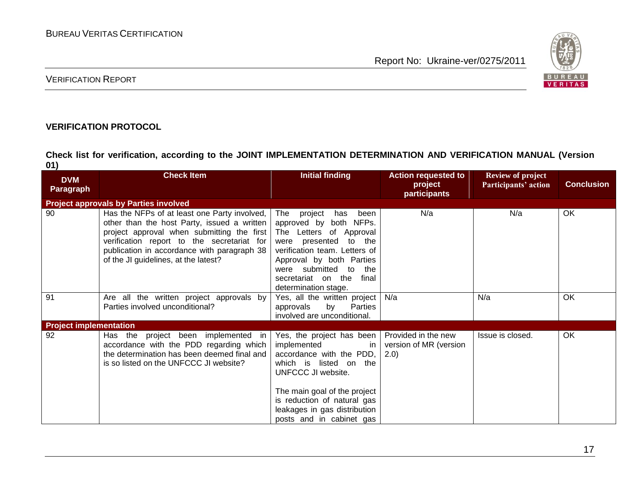

#### VERIFICATION REPORT

#### **VERIFICATION PROTOCOL**

**Check list for verification, according to the JOINT IMPLEMENTATION DETERMINATION AND VERIFICATION MANUAL (Version 01)**

| <b>DVM</b><br><b>Paragraph</b> | <b>Check Item</b>                                                                                                                                                                                                                                                                | Initial finding                                                                                                                                                                                                                                             | <b>Action requested to</b><br>project<br>participants  | <b>Review of project</b><br>Participants' action | <b>Conclusion</b> |
|--------------------------------|----------------------------------------------------------------------------------------------------------------------------------------------------------------------------------------------------------------------------------------------------------------------------------|-------------------------------------------------------------------------------------------------------------------------------------------------------------------------------------------------------------------------------------------------------------|--------------------------------------------------------|--------------------------------------------------|-------------------|
|                                | <b>Project approvals by Parties involved</b>                                                                                                                                                                                                                                     |                                                                                                                                                                                                                                                             |                                                        |                                                  |                   |
| 90                             | Has the NFPs of at least one Party involved,  <br>other than the host Party, issued a written<br>project approval when submitting the first<br>verification report to the secretariat for<br>publication in accordance with paragraph 38<br>of the JI guidelines, at the latest? | The project<br>has<br>been<br>approved by both NFPs.<br>The Letters of Approval<br>presented to the<br>were<br>verification team. Letters of<br>Approval by both Parties<br>were submitted to<br>the<br>secretariat on the<br>final<br>determination stage. | N/a                                                    | N/a                                              | OK                |
| 91                             | Are all the written project approvals by<br>Parties involved unconditional?                                                                                                                                                                                                      | Yes, all the written project<br>by<br>approvals<br>Parties<br>involved are unconditional.                                                                                                                                                                   | N/a                                                    | N/a                                              | OK                |
| <b>Project implementation</b>  |                                                                                                                                                                                                                                                                                  |                                                                                                                                                                                                                                                             |                                                        |                                                  |                   |
| 92                             | Has the project been implemented in<br>accordance with the PDD regarding which<br>the determination has been deemed final and<br>is so listed on the UNFCCC JI website?                                                                                                          | Yes, the project has been<br>implemented<br>-in<br>accordance with the PDD,<br>which is listed on the<br>UNFCCC JI website.<br>The main goal of the project<br>is reduction of natural gas<br>leakages in gas distribution<br>posts and in cabinet gas      | Provided in the new<br>version of MR (version<br>(2.0) | Issue is closed.                                 | OK                |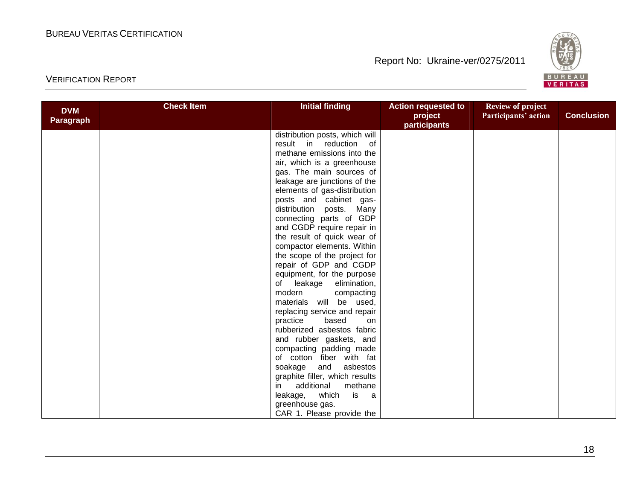

| <b>DVM</b> | <b>Check Item</b> | <b>Initial finding</b>         | <b>Action requested to</b> | <b>Review of project</b> |                   |
|------------|-------------------|--------------------------------|----------------------------|--------------------------|-------------------|
| Paragraph  |                   |                                | project<br>participants    | Participants' action     | <b>Conclusion</b> |
|            |                   | distribution posts, which will |                            |                          |                   |
|            |                   | result in reduction of         |                            |                          |                   |
|            |                   | methane emissions into the     |                            |                          |                   |
|            |                   | air, which is a greenhouse     |                            |                          |                   |
|            |                   | gas. The main sources of       |                            |                          |                   |
|            |                   | leakage are junctions of the   |                            |                          |                   |
|            |                   | elements of gas-distribution   |                            |                          |                   |
|            |                   | posts and cabinet gas-         |                            |                          |                   |
|            |                   | distribution posts. Many       |                            |                          |                   |
|            |                   | connecting parts of GDP        |                            |                          |                   |
|            |                   | and CGDP require repair in     |                            |                          |                   |
|            |                   | the result of quick wear of    |                            |                          |                   |
|            |                   | compactor elements. Within     |                            |                          |                   |
|            |                   | the scope of the project for   |                            |                          |                   |
|            |                   | repair of GDP and CGDP         |                            |                          |                   |
|            |                   | equipment, for the purpose     |                            |                          |                   |
|            |                   | leakage<br>elimination,<br>of  |                            |                          |                   |
|            |                   | modern<br>compacting           |                            |                          |                   |
|            |                   | materials will be used,        |                            |                          |                   |
|            |                   | replacing service and repair   |                            |                          |                   |
|            |                   | practice<br>based<br>on        |                            |                          |                   |
|            |                   | rubberized asbestos fabric     |                            |                          |                   |
|            |                   | and rubber gaskets, and        |                            |                          |                   |
|            |                   | compacting padding made        |                            |                          |                   |
|            |                   | of cotton fiber with fat       |                            |                          |                   |
|            |                   | soakage<br>and<br>asbestos     |                            |                          |                   |
|            |                   | graphite filler, which results |                            |                          |                   |
|            |                   | additional<br>methane<br>in    |                            |                          |                   |
|            |                   | is<br>which<br>leakage,<br>a a |                            |                          |                   |
|            |                   | greenhouse gas.                |                            |                          |                   |
|            |                   | CAR 1. Please provide the      |                            |                          |                   |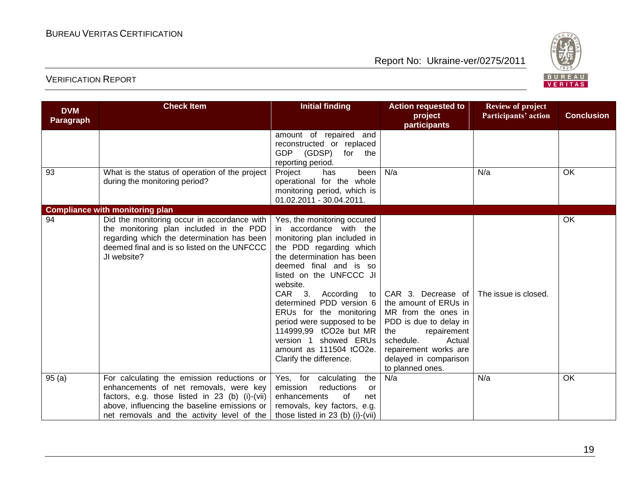

| <b>DVM</b>       | <b>Check Item</b>                                                                                                                                                                                                                    | <b>Initial finding</b>                                                                                                                                                                                                                                                                                                                                                                                                                    | <b>Action requested to</b><br>project                                                                                                                                                                           | <b>Review of project</b><br>Participants' action | <b>Conclusion</b> |
|------------------|--------------------------------------------------------------------------------------------------------------------------------------------------------------------------------------------------------------------------------------|-------------------------------------------------------------------------------------------------------------------------------------------------------------------------------------------------------------------------------------------------------------------------------------------------------------------------------------------------------------------------------------------------------------------------------------------|-----------------------------------------------------------------------------------------------------------------------------------------------------------------------------------------------------------------|--------------------------------------------------|-------------------|
| <b>Paragraph</b> |                                                                                                                                                                                                                                      |                                                                                                                                                                                                                                                                                                                                                                                                                                           | participants                                                                                                                                                                                                    |                                                  |                   |
|                  |                                                                                                                                                                                                                                      | amount of repaired and<br>reconstructed or replaced<br>GDP (GDSP)<br>for the<br>reporting period.                                                                                                                                                                                                                                                                                                                                         |                                                                                                                                                                                                                 |                                                  |                   |
| 93               | What is the status of operation of the project<br>during the monitoring period?                                                                                                                                                      | Project<br>been<br>has<br>operational for the whole<br>monitoring period, which is<br>01.02.2011 - 30.04.2011.                                                                                                                                                                                                                                                                                                                            | N/a                                                                                                                                                                                                             | N/a                                              | OK                |
|                  | <b>Compliance with monitoring plan</b>                                                                                                                                                                                               |                                                                                                                                                                                                                                                                                                                                                                                                                                           |                                                                                                                                                                                                                 |                                                  |                   |
| 94               | Did the monitoring occur in accordance with<br>the monitoring plan included in the PDD<br>regarding which the determination has been<br>deemed final and is so listed on the UNFCCC<br>JI website?                                   | Yes, the monitoring occured<br>in accordance with the<br>monitoring plan included in<br>the PDD regarding which<br>the determination has been<br>deemed final and is so<br>listed on the UNFCCC JI<br>website.<br>CAR 3. According<br>to<br>determined PDD version 6<br>ERUs for the monitoring<br>period were supposed to be<br>114999,99 tCO2e but MR<br>showed ERUs<br>version 1<br>amount as 111504 tCO2e.<br>Clarify the difference. | CAR 3. Decrease of<br>the amount of ERUs in<br>MR from the ones in<br>PDD is due to delay in<br>repairement<br>the<br>schedule.<br>Actual<br>repairement works are<br>delayed in comparison<br>to planned ones. | The issue is closed.                             | <b>OK</b>         |
| 95(a)            | For calculating the emission reductions or<br>enhancements of net removals, were key<br>factors, e.g. those listed in 23 (b) (i)-(vii)<br>above, influencing the baseline emissions or<br>net removals and the activity level of the | the<br>Yes, for calculating<br>emission<br>reductions<br>or<br>enhancements<br>οf<br>net<br>removals, key factors, e.g.<br>those listed in $23$ (b) (i)-(vii)                                                                                                                                                                                                                                                                             | N/a                                                                                                                                                                                                             | N/a                                              | OK                |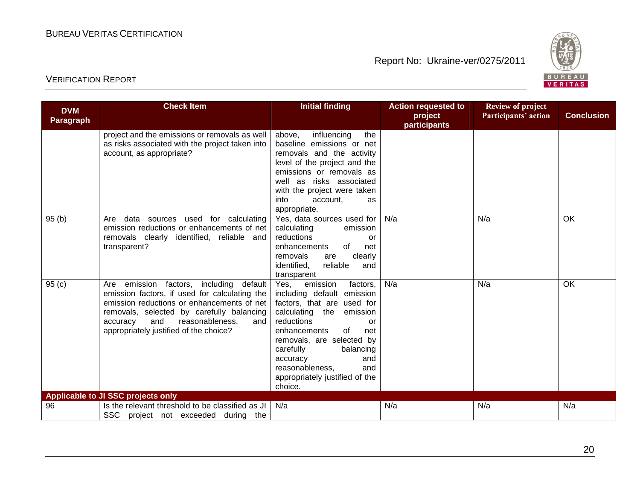

| <b>DVM</b> | <b>Check Item</b>                                                                                                                                                                                                                                                                | <b>Initial finding</b>                                                                                                                                                                                                                                                                                                 | <b>Action requested to</b> | <b>Review of project</b> |                   |
|------------|----------------------------------------------------------------------------------------------------------------------------------------------------------------------------------------------------------------------------------------------------------------------------------|------------------------------------------------------------------------------------------------------------------------------------------------------------------------------------------------------------------------------------------------------------------------------------------------------------------------|----------------------------|--------------------------|-------------------|
| Paragraph  |                                                                                                                                                                                                                                                                                  |                                                                                                                                                                                                                                                                                                                        | project<br>participants    | Participants' action     | <b>Conclusion</b> |
|            | project and the emissions or removals as well<br>as risks associated with the project taken into<br>account, as appropriate?                                                                                                                                                     | above,<br>influencing<br>the<br>baseline emissions or net<br>removals and the activity<br>level of the project and the<br>emissions or removals as<br>well as risks associated<br>with the project were taken<br>into<br>account,<br>as<br>appropriate.                                                                |                            |                          |                   |
| 95(b)      | Are data sources used for calculating<br>emission reductions or enhancements of net<br>removals clearly identified, reliable and<br>transparent?                                                                                                                                 | Yes, data sources used for<br>calculating<br>emission<br>reductions<br>or<br>of<br>enhancements<br>net<br>clearly<br>removals<br>are<br>identified,<br>reliable<br>and<br>transparent                                                                                                                                  | N/a                        | N/a                      | OK                |
| 95(c)      | emission factors, including<br>default<br>Are<br>emission factors, if used for calculating the<br>emission reductions or enhancements of net<br>removals, selected by carefully balancing<br>and<br>reasonableness,<br>accuracy<br>and<br>appropriately justified of the choice? | emission<br>factors,<br>Yes,<br>including default emission<br>factors, that are used for<br>calculating the emission<br>reductions<br>or<br>enhancements<br>0f<br>net<br>removals, are selected by<br>carefully<br>balancing<br>and<br>accuracy<br>reasonableness,<br>and<br>appropriately justified of the<br>choice. | N/a                        | N/a                      | OK                |
|            | Applicable to JI SSC projects only                                                                                                                                                                                                                                               |                                                                                                                                                                                                                                                                                                                        |                            |                          |                   |
| 96         | Is the relevant threshold to be classified as JI<br>SSC project not exceeded during the                                                                                                                                                                                          | N/a                                                                                                                                                                                                                                                                                                                    | N/a                        | N/a                      | N/a               |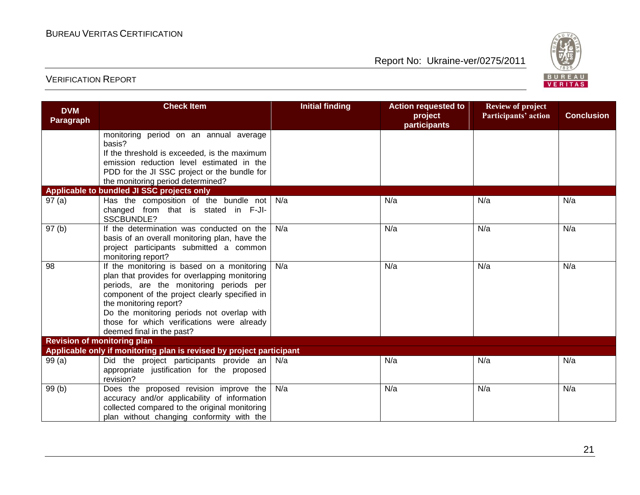

| <b>DVM</b><br><b>Paragraph</b> | <b>Check Item</b>                                                                                 | <b>Initial finding</b> | <b>Action requested to</b><br>project | <b>Review of project</b><br>Participants' action | <b>Conclusion</b> |
|--------------------------------|---------------------------------------------------------------------------------------------------|------------------------|---------------------------------------|--------------------------------------------------|-------------------|
|                                |                                                                                                   |                        | participants                          |                                                  |                   |
|                                | monitoring period on an annual average<br>basis?                                                  |                        |                                       |                                                  |                   |
|                                | If the threshold is exceeded, is the maximum                                                      |                        |                                       |                                                  |                   |
|                                | emission reduction level estimated in the                                                         |                        |                                       |                                                  |                   |
|                                | PDD for the JI SSC project or the bundle for                                                      |                        |                                       |                                                  |                   |
|                                | the monitoring period determined?                                                                 |                        |                                       |                                                  |                   |
|                                | Applicable to bundled JI SSC projects only                                                        |                        |                                       |                                                  |                   |
| 97(a)                          | Has the composition of the bundle not $N/a$<br>changed from that is stated in F-JI-<br>SSCBUNDLE? |                        | N/a                                   | N/a                                              | N/a               |
| 97(b)                          | If the determination was conducted on the                                                         | N/a                    | N/a                                   | N/a                                              | N/a               |
|                                | basis of an overall monitoring plan, have the                                                     |                        |                                       |                                                  |                   |
|                                | project participants submitted a common                                                           |                        |                                       |                                                  |                   |
| 98                             | monitoring report?                                                                                | N/a                    | N/a                                   | N/a                                              | N/a               |
|                                | If the monitoring is based on a monitoring<br>plan that provides for overlapping monitoring       |                        |                                       |                                                  |                   |
|                                | periods, are the monitoring periods per                                                           |                        |                                       |                                                  |                   |
|                                | component of the project clearly specified in                                                     |                        |                                       |                                                  |                   |
|                                | the monitoring report?                                                                            |                        |                                       |                                                  |                   |
|                                | Do the monitoring periods not overlap with                                                        |                        |                                       |                                                  |                   |
|                                | those for which verifications were already                                                        |                        |                                       |                                                  |                   |
|                                | deemed final in the past?                                                                         |                        |                                       |                                                  |                   |
|                                | <b>Revision of monitoring plan</b>                                                                |                        |                                       |                                                  |                   |
|                                | Applicable only if monitoring plan is revised by project participant                              |                        | N/a                                   | N/a                                              | N/a               |
| 99(a)                          | Did the project participants provide an   N/a<br>appropriate justification for the proposed       |                        |                                       |                                                  |                   |
|                                | revision?                                                                                         |                        |                                       |                                                  |                   |
| 99(b)                          | Does the proposed revision improve the                                                            | N/a                    | N/a                                   | N/a                                              | N/a               |
|                                | accuracy and/or applicability of information                                                      |                        |                                       |                                                  |                   |
|                                | collected compared to the original monitoring                                                     |                        |                                       |                                                  |                   |
|                                | plan without changing conformity with the                                                         |                        |                                       |                                                  |                   |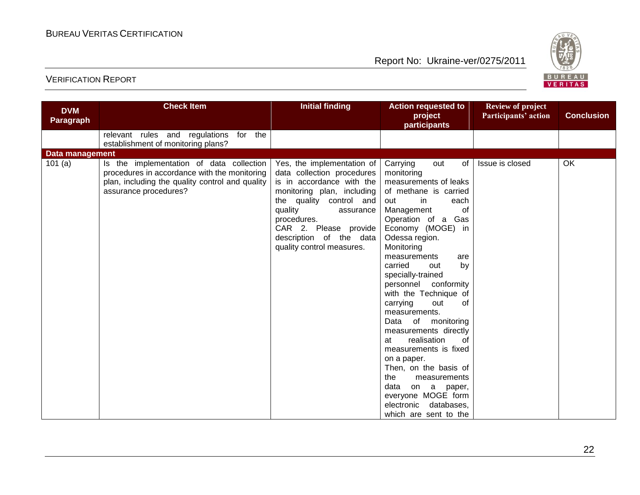

| <b>DVM</b>             | <b>Check Item</b>                                                                                                                                                    | <b>Initial finding</b>                                                                                                                                                                                                                                                 | <b>Action requested to</b><br>project                                                                                                                                                                                                                                                                                                                                                                                                                                                                                                                                                                                                        | <b>Review of project</b><br>Participants' action | <b>Conclusion</b> |
|------------------------|----------------------------------------------------------------------------------------------------------------------------------------------------------------------|------------------------------------------------------------------------------------------------------------------------------------------------------------------------------------------------------------------------------------------------------------------------|----------------------------------------------------------------------------------------------------------------------------------------------------------------------------------------------------------------------------------------------------------------------------------------------------------------------------------------------------------------------------------------------------------------------------------------------------------------------------------------------------------------------------------------------------------------------------------------------------------------------------------------------|--------------------------------------------------|-------------------|
| <b>Paragraph</b>       |                                                                                                                                                                      |                                                                                                                                                                                                                                                                        | <b>participants</b>                                                                                                                                                                                                                                                                                                                                                                                                                                                                                                                                                                                                                          |                                                  |                   |
|                        | relevant rules and regulations for the<br>establishment of monitoring plans?                                                                                         |                                                                                                                                                                                                                                                                        |                                                                                                                                                                                                                                                                                                                                                                                                                                                                                                                                                                                                                                              |                                                  |                   |
| <b>Data management</b> |                                                                                                                                                                      |                                                                                                                                                                                                                                                                        |                                                                                                                                                                                                                                                                                                                                                                                                                                                                                                                                                                                                                                              |                                                  |                   |
| 101 $(a)$              | Is the implementation of data collection<br>procedures in accordance with the monitoring<br>plan, including the quality control and quality<br>assurance procedures? | Yes, the implementation of<br>data collection procedures<br>is in accordance with the<br>monitoring plan, including<br>the quality control and<br>quality<br>assurance<br>procedures.<br>CAR 2. Please provide<br>description of the data<br>quality control measures. | Carrying<br>of<br>out<br>monitoring<br>measurements of leaks<br>of methane is carried<br>out<br>in<br>each<br>of<br>Management<br>Operation of a Gas<br>Economy (MOGE) in<br>Odessa region.<br>Monitoring<br>measurements<br>are<br>by<br>carried<br>out<br>specially-trained<br>personnel conformity<br>with the Technique of<br>carrying<br>0f<br>out<br>measurements.<br>of monitoring<br>Data<br>measurements directly<br>realisation<br>0f<br>at<br>measurements is fixed<br>on a paper.<br>Then, on the basis of<br>the<br>measurements<br>data<br>on a paper,<br>everyone MOGE form<br>electronic databases,<br>which are sent to the | Issue is closed                                  | OK                |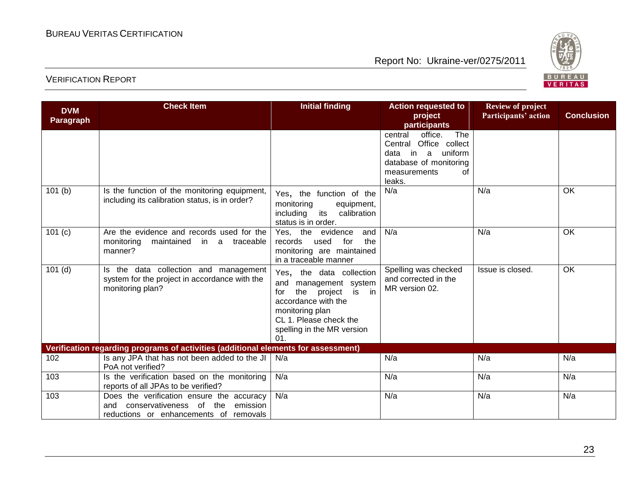

| <b>DVM</b><br><b>Paragraph</b>                                                     | <b>Check Item</b>                                                                                                                 | <b>Initial finding</b>                                                                                                                                                                          | <b>Action requested to</b><br>project<br>participants                                                                                          | <b>Review of project</b><br>Participants' action | <b>Conclusion</b> |  |
|------------------------------------------------------------------------------------|-----------------------------------------------------------------------------------------------------------------------------------|-------------------------------------------------------------------------------------------------------------------------------------------------------------------------------------------------|------------------------------------------------------------------------------------------------------------------------------------------------|--------------------------------------------------|-------------------|--|
|                                                                                    |                                                                                                                                   |                                                                                                                                                                                                 | office.<br>The<br>central<br>Office collect<br>Central<br>in<br>uniform<br>data<br>a<br>database of monitoring<br>of<br>measurements<br>leaks. |                                                  |                   |  |
| 101(b)                                                                             | Is the function of the monitoring equipment,<br>including its calibration status, is in order?                                    | Yes, the function of the<br>monitoring<br>equipment,<br>its calibration<br>including<br>status is in order.                                                                                     | N/a                                                                                                                                            | N/a                                              | OK                |  |
| 101(c)                                                                             | Are the evidence and records used for the<br>monitoring<br>maintained<br>in a traceable<br>manner?                                | Yes, the<br>evidence<br>and<br>the<br>records<br>used<br>for<br>monitoring are maintained<br>in a traceable manner                                                                              | N/a                                                                                                                                            | N/a                                              | OK                |  |
| $101$ (d)                                                                          | Is the data collection and management<br>system for the project in accordance with the<br>monitoring plan?                        | Yes, the data collection<br>and<br>management system<br>is in<br>the<br>project<br>for<br>accordance with the<br>monitoring plan<br>CL 1. Please check the<br>spelling in the MR version<br>01. | Spelling was checked<br>and corrected in the<br>MR version 02.                                                                                 | Issue is closed.                                 | OK                |  |
| Verification regarding programs of activities (additional elements for assessment) |                                                                                                                                   |                                                                                                                                                                                                 |                                                                                                                                                |                                                  |                   |  |
| 102                                                                                | Is any JPA that has not been added to the JI $\vert$<br>PoA not verified?                                                         | N/a                                                                                                                                                                                             | N/a                                                                                                                                            | N/a                                              | N/a               |  |
| 103                                                                                | Is the verification based on the monitoring<br>reports of all JPAs to be verified?                                                | N/a                                                                                                                                                                                             | N/a                                                                                                                                            | N/a                                              | N/a               |  |
| 103                                                                                | Does the verification ensure the accuracy<br>conservativeness of the<br>emission<br>and<br>reductions or enhancements of removals | N/a                                                                                                                                                                                             | N/a                                                                                                                                            | N/a                                              | N/a               |  |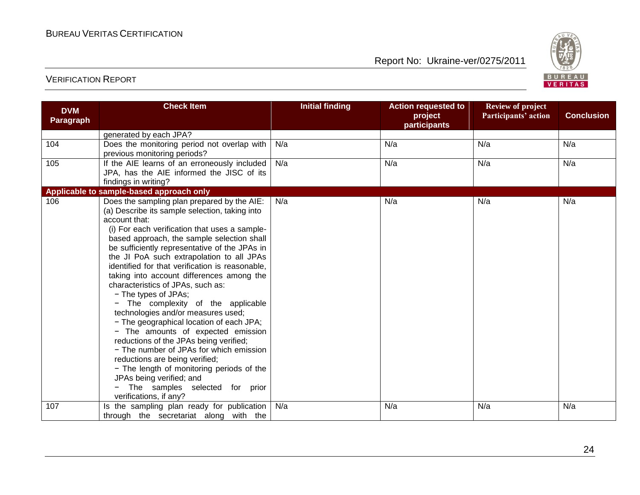

| <b>DVM</b><br><b>Paragraph</b> | <b>Check Item</b>                                                                                                                                                                                                                                                                                                                                                                                                                                                                                                                                                                                                                                                                                                                                                                                                                                                                                | <b>Initial finding</b> | <b>Action requested to</b><br>project<br>participants | <b>Review of project</b><br>Participants' action | <b>Conclusion</b> |
|--------------------------------|--------------------------------------------------------------------------------------------------------------------------------------------------------------------------------------------------------------------------------------------------------------------------------------------------------------------------------------------------------------------------------------------------------------------------------------------------------------------------------------------------------------------------------------------------------------------------------------------------------------------------------------------------------------------------------------------------------------------------------------------------------------------------------------------------------------------------------------------------------------------------------------------------|------------------------|-------------------------------------------------------|--------------------------------------------------|-------------------|
|                                | generated by each JPA?                                                                                                                                                                                                                                                                                                                                                                                                                                                                                                                                                                                                                                                                                                                                                                                                                                                                           |                        |                                                       |                                                  |                   |
| 104                            | Does the monitoring period not overlap with<br>previous monitoring periods?                                                                                                                                                                                                                                                                                                                                                                                                                                                                                                                                                                                                                                                                                                                                                                                                                      | N/a                    | N/a                                                   | N/a                                              | N/a               |
| 105                            | If the AIE learns of an erroneously included<br>JPA, has the AIE informed the JISC of its<br>findings in writing?                                                                                                                                                                                                                                                                                                                                                                                                                                                                                                                                                                                                                                                                                                                                                                                | N/a                    | N/a                                                   | N/a                                              | N/a               |
|                                | Applicable to sample-based approach only                                                                                                                                                                                                                                                                                                                                                                                                                                                                                                                                                                                                                                                                                                                                                                                                                                                         |                        |                                                       |                                                  |                   |
| 106                            | Does the sampling plan prepared by the AIE:<br>(a) Describe its sample selection, taking into<br>account that:<br>(i) For each verification that uses a sample-<br>based approach, the sample selection shall<br>be sufficiently representative of the JPAs in<br>the JI PoA such extrapolation to all JPAs<br>identified for that verification is reasonable,<br>taking into account differences among the<br>characteristics of JPAs, such as:<br>- The types of JPAs;<br>The complexity of the applicable<br>technologies and/or measures used;<br>- The geographical location of each JPA;<br>- The amounts of expected emission<br>reductions of the JPAs being verified;<br>- The number of JPAs for which emission<br>reductions are being verified;<br>- The length of monitoring periods of the<br>JPAs being verified; and<br>The samples selected for prior<br>verifications, if any? | N/a                    | N/a                                                   | N/a                                              | N/a               |
| 107                            | Is the sampling plan ready for publication                                                                                                                                                                                                                                                                                                                                                                                                                                                                                                                                                                                                                                                                                                                                                                                                                                                       | N/a                    | N/a                                                   | N/a                                              | N/a               |
|                                | through the secretariat along with the                                                                                                                                                                                                                                                                                                                                                                                                                                                                                                                                                                                                                                                                                                                                                                                                                                                           |                        |                                                       |                                                  |                   |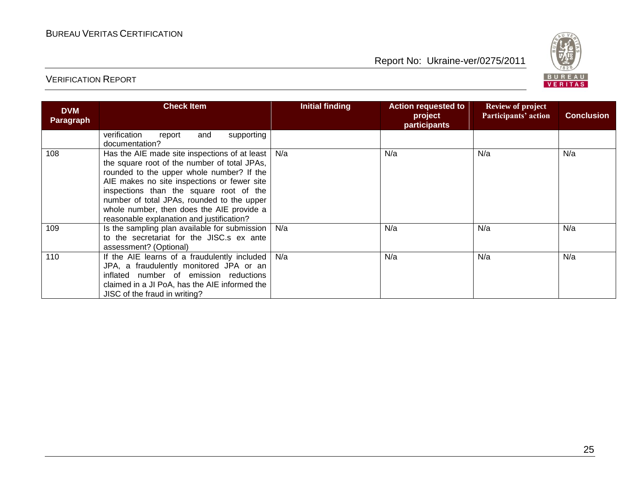

| <b>DVM</b><br><b>Paragraph</b> | <b>Check Item</b>                                                                                                                                                                                                                                                                                                                                                            | Initial finding | <b>Action requested to</b><br>project<br><b>participants</b> | <b>Review of project</b><br>Participants' action | <b>Conclusion</b> |
|--------------------------------|------------------------------------------------------------------------------------------------------------------------------------------------------------------------------------------------------------------------------------------------------------------------------------------------------------------------------------------------------------------------------|-----------------|--------------------------------------------------------------|--------------------------------------------------|-------------------|
|                                | verification<br>supporting<br>and<br>report<br>documentation?                                                                                                                                                                                                                                                                                                                |                 |                                                              |                                                  |                   |
| 108                            | Has the AIE made site inspections of at least<br>the square root of the number of total JPAs,<br>rounded to the upper whole number? If the<br>AIE makes no site inspections or fewer site<br>inspections than the square root of the<br>number of total JPAs, rounded to the upper<br>whole number, then does the AIE provide a<br>reasonable explanation and justification? | N/a             | N/a                                                          | N/a                                              | N/a               |
| 109                            | Is the sampling plan available for submission<br>to the secretariat for the JISC.s ex ante<br>assessment? (Optional)                                                                                                                                                                                                                                                         | N/a             | N/a                                                          | N/a                                              | N/a               |
| 110                            | If the AIE learns of a fraudulently included<br>JPA, a fraudulently monitored JPA or an<br>inflated number of emission reductions<br>claimed in a JI PoA, has the AIE informed the<br>JISC of the fraud in writing?                                                                                                                                                          | N/a             | N/a                                                          | N/a                                              | N/a               |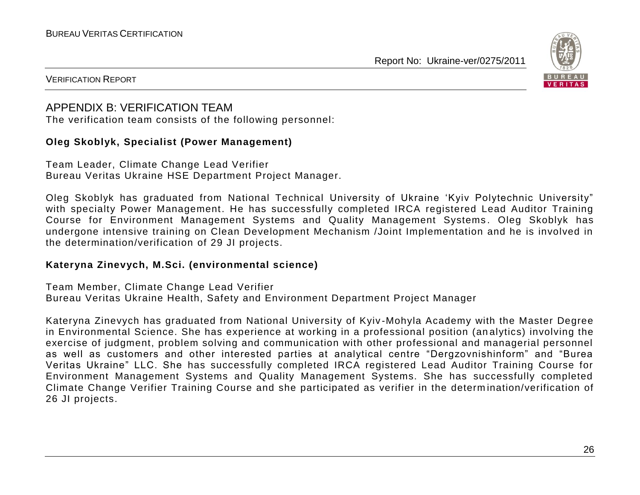

#### VERIFICATION REPORT

#### APPENDIX B: VERIFICATION TEAM

The verification team consists of the following personnel:

#### **Oleg Skoblyk, Specialist (Power Management)**

Team Leader, Climate Change Lead Verifier Bureau Veritas Ukraine HSE Department Project Manager.

Oleg Skoblyk has graduated from National Technical University of Ukraine "Kyiv Polytechnic University" with specialty Power Management. He has successfully completed IRCA registered Lead Auditor Training Course for Environment Management Systems and Quality Management Systems. Oleg Skoblyk has undergone intensive training on Clean Development Mechanism /Joint Implementation and he is involved in the determination/verification of 29 JI projects.

#### **Kateryna Zinevych, M.Sci. (environmental science)**

Team Member, Climate Change Lead Verifier Bureau Veritas Ukraine Health, Safety and Environment Department Project Manager

Kateryna Zinevych has graduated from National University of Kyiv -Mohyla Academy with the Master Degree in Environmental Science. She has experience at working in a professional position (an alytics) involving the exercise of judgment, problem solving and communication with other professional and managerial personnel as well as customers and other interested parties at analytical centre "Dergzovnishinform" and "Burea Veritas Ukraine" LLC. She has successfully completed IRCA registered Lead Auditor Training Course for Environment Management Systems and Quality Management Systems. She has successfully completed Climate Change Verifier Training Course and she participated as verifier in the determ ination/verification of 26 JI projects.